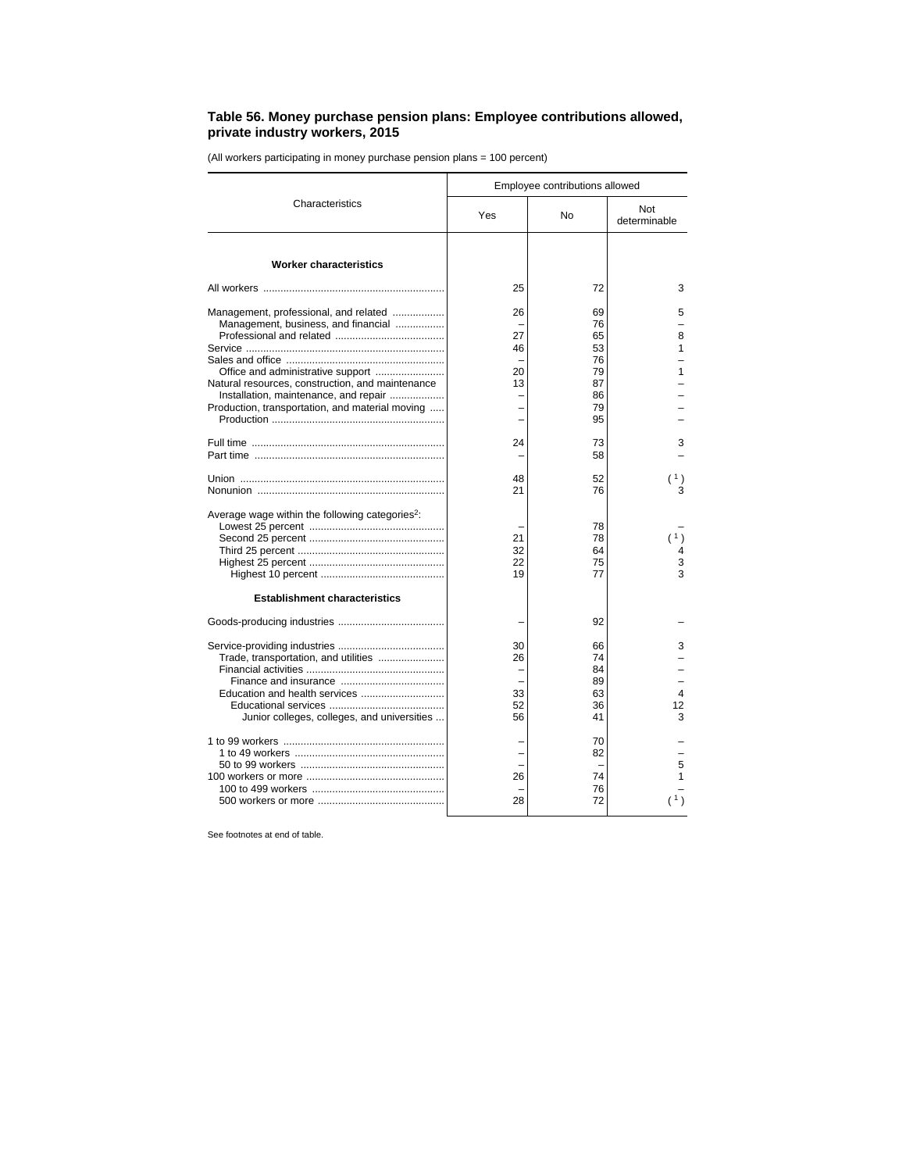## **Table 56. Money purchase pension plans: Employee contributions allowed, private industry workers, 2015**

(All workers participating in money purchase pension plans = 100 percent)

| Characteristics                                             | Employee contributions allowed |          |                     |
|-------------------------------------------------------------|--------------------------------|----------|---------------------|
|                                                             | Yes                            | No       | Not<br>determinable |
| <b>Worker characteristics</b>                               |                                |          |                     |
|                                                             | 25                             | 72       | 3                   |
| Management, professional, and related                       | 26                             | 69       | 5                   |
| Management, business, and financial                         |                                | 76       |                     |
|                                                             | 27                             | 65       | 8                   |
|                                                             | 46                             | 53       | 1                   |
|                                                             |                                | 76       |                     |
|                                                             | 20                             | 79       | 1                   |
| Natural resources, construction, and maintenance            | 13                             | 87       |                     |
| Installation, maintenance, and repair                       |                                | 86       |                     |
| Production, transportation, and material moving             |                                | 79<br>95 |                     |
|                                                             | 24                             | 73       | 3                   |
|                                                             |                                | 58       |                     |
|                                                             | 48                             | 52       |                     |
|                                                             | 21                             | 76       |                     |
| Average wage within the following categories <sup>2</sup> : |                                |          |                     |
|                                                             |                                | 78       |                     |
|                                                             | 21                             | 78       | (1)                 |
|                                                             | 32                             | 64       |                     |
|                                                             | 22                             | 75       | 3                   |
|                                                             | 19                             | 77       | 3                   |
| <b>Establishment characteristics</b>                        |                                |          |                     |
|                                                             |                                | 92       |                     |
|                                                             | 30                             | 66       | 3                   |
| Trade, transportation, and utilities                        | 26                             | 74       |                     |
|                                                             |                                | 84       |                     |
|                                                             |                                | 89       |                     |
|                                                             | 33                             | 63       | 4                   |
|                                                             | 52                             | 36       | 12                  |
| Junior colleges, colleges, and universities                 | 56                             | 41       | 3                   |
|                                                             |                                | 70       |                     |
|                                                             |                                | 82       |                     |
|                                                             |                                |          | 5                   |
|                                                             | 26                             | 74       | 1                   |
|                                                             | 28                             | 76<br>72 | 1)                  |
|                                                             |                                |          |                     |
|                                                             |                                |          |                     |

See footnotes at end of table.